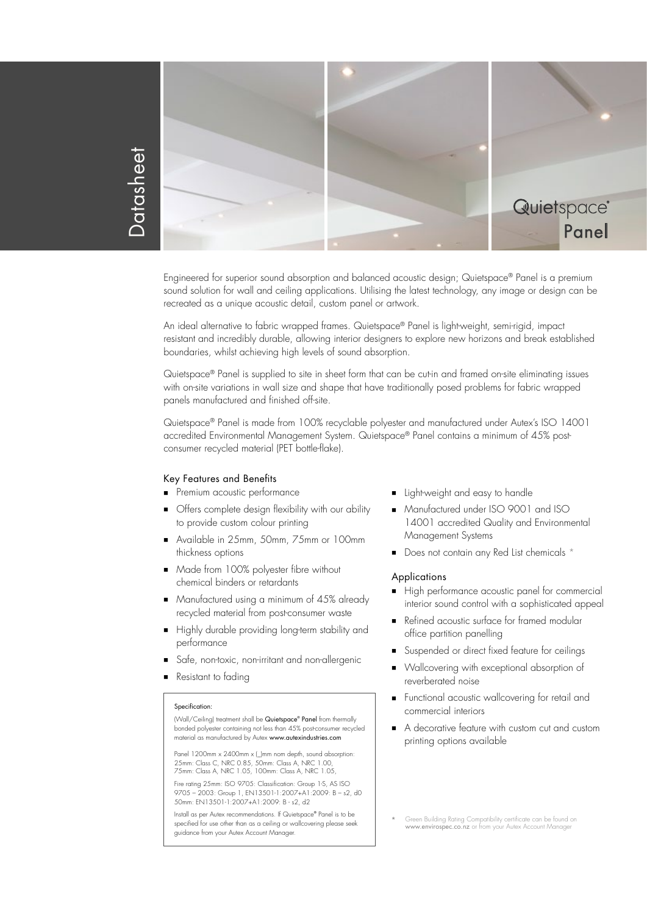



Engineered for superior sound absorption and balanced acoustic design; Quietspace® Panel is a premium sound solution for wall and ceiling applications. Utilising the latest technology, any image or design can be recreated as a unique acoustic detail, custom panel or artwork.

An ideal alternative to fabric wrapped frames. Quietspace® Panel is light-weight, semi-rigid, impact resistant and incredibly durable, allowing interior designers to explore new horizons and break established boundaries, whilst achieving high levels of sound absorption.

Quietspace® Panel is supplied to site in sheet form that can be cut-in and framed on-site eliminating issues with on-site variations in wall size and shape that have traditionally posed problems for fabric wrapped panels manufactured and finished off-site.

Quietspace® Panel is made from 100% recyclable polyester and manufactured under Autex's ISO 14001 accredited Environmental Management System. Quietspace® Panel contains a minimum of 45% postconsumer recycled material (PET bottle-flake).

#### Key Features and Benefits

- **Premium acoustic performance**
- Offers complete design flexibility with our ability to provide custom colour printing
- Available in 25mm, 50mm, 75mm or 100mm thickness options
- **Made from 100% polyester fibre without** chemical binders or retardants
- Manufactured using a minimum of 45% already recycled material from post-consumer waste
- Highly durable providing long-term stability and performance
- Safe, non-toxic, non-irritant and non-allergenic
- Resistant to fading

#### Specification:

(Wall/Ceiling) treatment shall be Quietspace® Panel from thermally bonded polyester containing not less than 45% post-consumer recycled material as manufactured by Autex www.autexindustries.com

Panel 1200mm x 2400mm x (\_)mm nom depth, sound absorption 25mm: Class C, NRC 0.85, 50mm: Class A, NRC 1.00, 75mm: Class A, NRC 1.05, 100mm: Class A, NRC 1.05,

Fire rating 25mm: ISO 9705: Classification: Group 1-S, AS ISO 9705 – 2003: Group 1, EN13501-1:2007+A1:2009: B – s2, d0 50mm: EN13501-1:2007+A1:2009: B - s2, d2

Install as per Autex recommendations. If Quietspace® Panel is to be specified for use other than as a ceiling or wallcovering please seek guidance from your Autex Account Manager.

- **Light-weight and easy to handle**
- Manufactured under ISO 9001 and ISO 14001 accredited Quality and Environmental Management Systems
- Does not contain any Red List chemicals \*

## **Applications**

- High performance acoustic panel for commercial interior sound control with a sophisticated appeal
- Refined acoustic surface for framed modular office partition panelling
- Suspended or direct fixed feature for ceilings
- Wallcovering with exceptional absorption of reverberated noise
- **Functional acoustic wallcovering for retail and** commercial interiors
- A decorative feature with custom cut and custom printing options available

<sup>\*</sup> Green Building Rating Compatibility certificate can be found on www.envirospec.co.nz or from your Autex Account Manager